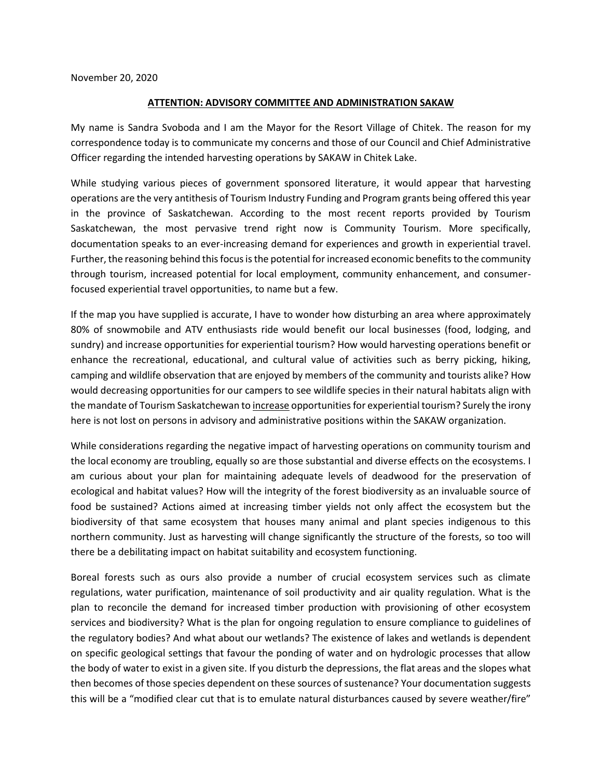November 20, 2020

## **ATTENTION: ADVISORY COMMITTEE AND ADMINISTRATION SAKAW**

My name is Sandra Svoboda and I am the Mayor for the Resort Village of Chitek. The reason for my correspondence today is to communicate my concerns and those of our Council and Chief Administrative Officer regarding the intended harvesting operations by SAKAW in Chitek Lake.

While studying various pieces of government sponsored literature, it would appear that harvesting operations are the very antithesis of Tourism Industry Funding and Program grants being offered this year in the province of Saskatchewan. According to the most recent reports provided by Tourism Saskatchewan, the most pervasive trend right now is Community Tourism. More specifically, documentation speaks to an ever-increasing demand for experiences and growth in experiential travel. Further, the reasoning behind this focus is the potential for increased economic benefits to the community through tourism, increased potential for local employment, community enhancement, and consumerfocused experiential travel opportunities, to name but a few.

If the map you have supplied is accurate, I have to wonder how disturbing an area where approximately 80% of snowmobile and ATV enthusiasts ride would benefit our local businesses (food, lodging, and sundry) and increase opportunities for experiential tourism? How would harvesting operations benefit or enhance the recreational, educational, and cultural value of activities such as berry picking, hiking, camping and wildlife observation that are enjoyed by members of the community and tourists alike? How would decreasing opportunities for our campers to see wildlife species in their natural habitats align with the mandate of Tourism Saskatchewan to increase opportunities for experiential tourism? Surely the irony here is not lost on persons in advisory and administrative positions within the SAKAW organization.

While considerations regarding the negative impact of harvesting operations on community tourism and the local economy are troubling, equally so are those substantial and diverse effects on the ecosystems. I am curious about your plan for maintaining adequate levels of deadwood for the preservation of ecological and habitat values? How will the integrity of the forest biodiversity as an invaluable source of food be sustained? Actions aimed at increasing timber yields not only affect the ecosystem but the biodiversity of that same ecosystem that houses many animal and plant species indigenous to this northern community. Just as harvesting will change significantly the structure of the forests, so too will there be a debilitating impact on habitat suitability and ecosystem functioning.

Boreal forests such as ours also provide a number of crucial ecosystem services such as climate regulations, water purification, maintenance of soil productivity and air quality regulation. What is the plan to reconcile the demand for increased timber production with provisioning of other ecosystem services and biodiversity? What is the plan for ongoing regulation to ensure compliance to guidelines of the regulatory bodies? And what about our wetlands? The existence of lakes and wetlands is dependent on specific geological settings that favour the ponding of water and on hydrologic processes that allow the body of water to exist in a given site. If you disturb the depressions, the flat areas and the slopes what then becomes of those species dependent on these sources of sustenance? Your documentation suggests this will be a "modified clear cut that is to emulate natural disturbances caused by severe weather/fire"